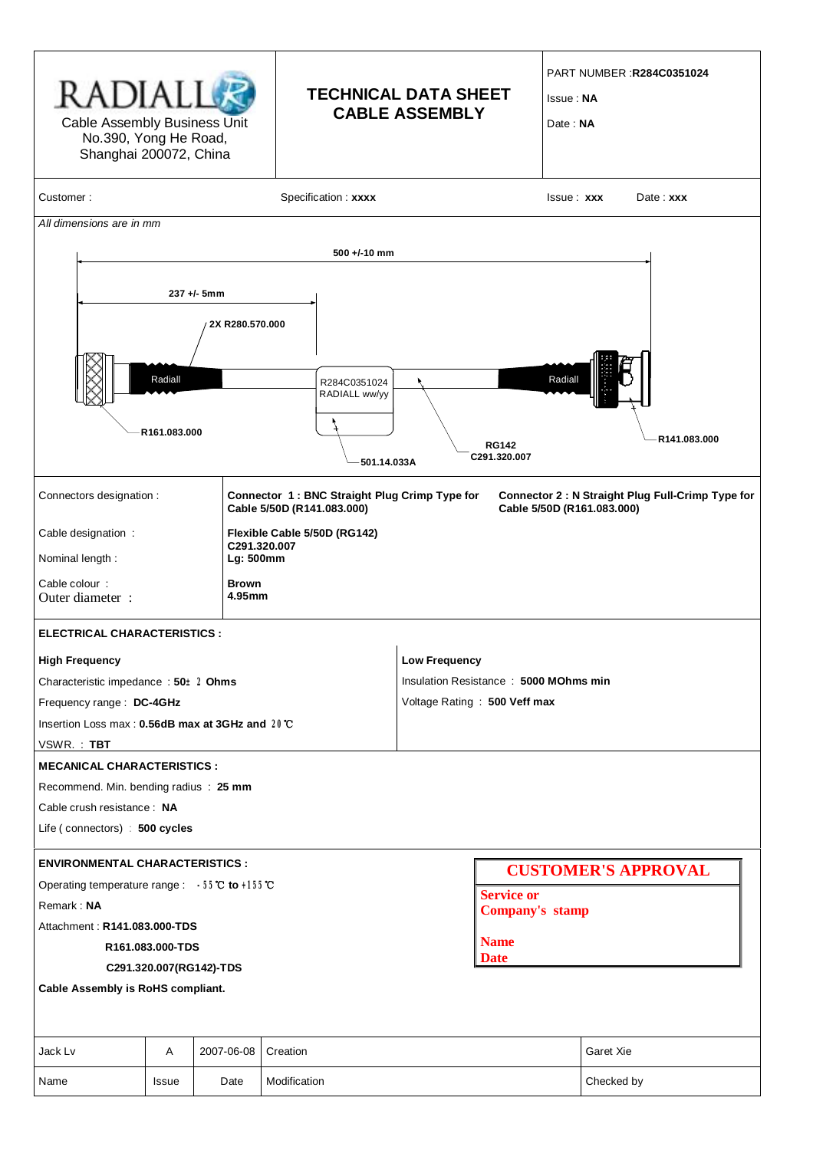| RADIALL<br>Cable Assembly Business Unit<br>No.390, Yong He Road,<br>Shanghai 200072, China |                         |                                |                               | <b>TECHNICAL DATA SHEET</b><br><b>CABLE ASSEMBLY</b>                                                                             |                                         |  | <b>PART NUMBER :R284C0351024</b><br><b>Issue: NA</b><br>Date: NA |  |  |  |  |
|--------------------------------------------------------------------------------------------|-------------------------|--------------------------------|-------------------------------|----------------------------------------------------------------------------------------------------------------------------------|-----------------------------------------|--|------------------------------------------------------------------|--|--|--|--|
| Customer:                                                                                  |                         |                                | Specification: xxxx           |                                                                                                                                  | <b>Issue: xxx</b>                       |  | $Date:$ $xxx$                                                    |  |  |  |  |
| All dimensions are in mm                                                                   |                         |                                |                               |                                                                                                                                  |                                         |  |                                                                  |  |  |  |  |
|                                                                                            |                         |                                | $500 + (-10)$ mm              |                                                                                                                                  |                                         |  |                                                                  |  |  |  |  |
|                                                                                            |                         |                                |                               |                                                                                                                                  |                                         |  |                                                                  |  |  |  |  |
|                                                                                            | Radiall<br>R161.083.000 | 237 +/- 5mm<br>2X R280.570.000 | R284C0351024<br>RADIALL ww/yy |                                                                                                                                  | Radiall<br><b>RG142</b><br>C291.320.007 |  | R141.083.000                                                     |  |  |  |  |
|                                                                                            |                         |                                | 501.14.033A                   |                                                                                                                                  |                                         |  |                                                                  |  |  |  |  |
| Connectors designation :                                                                   |                         |                                | Cable 5/50D (R141.083.000)    | Connector 1: BNC Straight Plug Crimp Type for<br>Connector 2 : N Straight Plug Full-Crimp Type for<br>Cable 5/50D (R161.083.000) |                                         |  |                                                                  |  |  |  |  |
| Cable designation :                                                                        |                         |                                | Flexible Cable 5/50D (RG142)  |                                                                                                                                  |                                         |  |                                                                  |  |  |  |  |
| Nominal length:                                                                            |                         |                                | C291.320.007<br>Lg: 500mm     |                                                                                                                                  |                                         |  |                                                                  |  |  |  |  |
| Cable colour :<br>Outer diameter :                                                         |                         | <b>Brown</b><br>4.95mm         |                               |                                                                                                                                  |                                         |  |                                                                  |  |  |  |  |
| ELECTRICAL CHARACTERISTICS :                                                               |                         |                                |                               |                                                                                                                                  |                                         |  |                                                                  |  |  |  |  |
| <b>High Frequency</b>                                                                      |                         |                                |                               | <b>Low Frequency</b>                                                                                                             |                                         |  |                                                                  |  |  |  |  |
| Characteristic impedance: $50\pm2$ Ohms                                                    |                         |                                |                               | Insulation Resistance: 5000 MOhms min                                                                                            |                                         |  |                                                                  |  |  |  |  |
| Frequency range : DC-4GHz                                                                  |                         |                                |                               | Voltage Rating: 500 Veff max                                                                                                     |                                         |  |                                                                  |  |  |  |  |
| Insertion Loss max : 0.56dB max at 3GHz and 20℃                                            |                         |                                |                               |                                                                                                                                  |                                         |  |                                                                  |  |  |  |  |
| VSWR.: TBT                                                                                 |                         |                                |                               |                                                                                                                                  |                                         |  |                                                                  |  |  |  |  |
| <b>MECANICAL CHARACTERISTICS:</b>                                                          |                         |                                |                               |                                                                                                                                  |                                         |  |                                                                  |  |  |  |  |
| Recommend. Min. bending radius : 25 mm                                                     |                         |                                |                               |                                                                                                                                  |                                         |  |                                                                  |  |  |  |  |
| Cable crush resistance: NA                                                                 |                         |                                |                               |                                                                                                                                  |                                         |  |                                                                  |  |  |  |  |
| Life (connectors) : 500 cycles                                                             |                         |                                |                               |                                                                                                                                  |                                         |  |                                                                  |  |  |  |  |
| <b>ENVIRONMENTAL CHARACTERISTICS:</b>                                                      |                         |                                |                               |                                                                                                                                  |                                         |  |                                                                  |  |  |  |  |
| Operating temperature range : -55℃ to +155℃                                                |                         |                                |                               |                                                                                                                                  | <b>CUSTOMER'S APPROVAL</b>              |  |                                                                  |  |  |  |  |
| Remark: NA                                                                                 |                         |                                |                               |                                                                                                                                  | <b>Service or</b><br>Company's stamp    |  |                                                                  |  |  |  |  |
| Attachment: R141.083.000-TDS                                                               |                         |                                |                               |                                                                                                                                  |                                         |  |                                                                  |  |  |  |  |
|                                                                                            | R161.083.000-TDS        |                                |                               |                                                                                                                                  | <b>Name</b>                             |  |                                                                  |  |  |  |  |
| <b>Date</b><br>C291.320.007(RG142)-TDS                                                     |                         |                                |                               |                                                                                                                                  |                                         |  |                                                                  |  |  |  |  |
| Cable Assembly is RoHS compliant.                                                          |                         |                                |                               |                                                                                                                                  |                                         |  |                                                                  |  |  |  |  |
| Jack Lv<br>Α<br>2007-06-08<br>Creation                                                     |                         |                                |                               | Garet Xie                                                                                                                        |                                         |  |                                                                  |  |  |  |  |
| Name                                                                                       | <b>Issue</b>            | Date                           | Modification                  |                                                                                                                                  | Checked by                              |  |                                                                  |  |  |  |  |